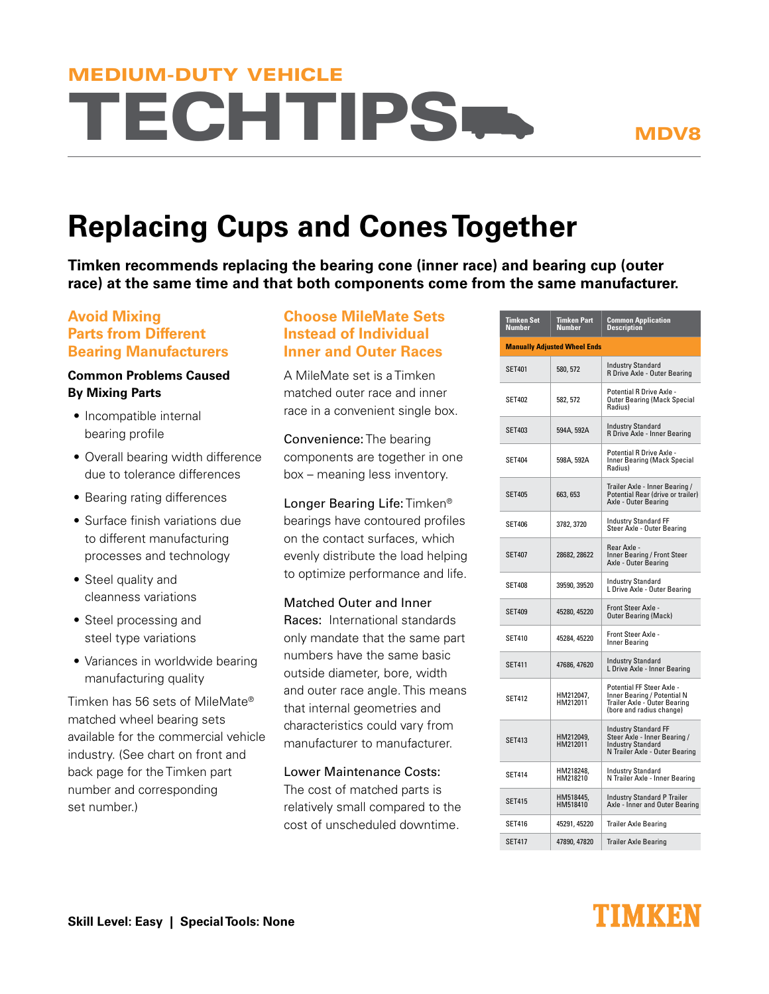# **TECHTIPS** MEDIUM-DUTY VEHICLE

# **Replacing Cups and Cones Together**

**Timken recommends replacing the bearing cone (inner race) and bearing cup (outer race) at the same time and that both components come from the same manufacturer.**

### **Avoid Mixing Parts from Different Bearing Manufacturers**

#### **Common Problems Caused By Mixing Parts**

- $\bullet$  Incompatible internal bearing profile
- Overall bearing width difference due to tolerance differences
- Bearing rating differences
- Surface finish variations due to different manufacturing processes and technology
- Steel quality and cleanness variations
- Steel processing and steel type variations
- Variances in worldwide bearing manufacturing quality

Timken has 56 sets of MileMate® matched wheel bearing sets available for the commercial vehicle industry. (See chart on front and back page for the Timken part number and corresponding set number.)

### **Choose MileMate Sets Instead of Individual Inner and Outer Races**

A MileMate set is a Timken matched outer race and inner race in a convenient single box.

Convenience: The bearing components are together in one box – meaning less inventory.

Longer Bearing Life: Timken® bearings have contoured profiles on the contact surfaces, which evenly distribute the load helping to optimize performance and life.

Matched Outer and Inner Races: International standards only mandate that the same part numbers have the same basic outside diameter, bore, width and outer race angle. This means that internal geometries and characteristics could vary from manufacturer to manufacturer

Lower Maintenance Costs: The cost of matched parts is relatively small compared to the cost of unscheduled downtime.

| Timken Set<br>Number                | Timken Part<br>Number | <b>Common Application</b><br><b>Description</b>                                                                           |  |  |
|-------------------------------------|-----------------------|---------------------------------------------------------------------------------------------------------------------------|--|--|
| <b>Manually Adjusted Wheel Ends</b> |                       |                                                                                                                           |  |  |
| <b>SET401</b>                       | 580, 572              | Industry Standard<br>R Drive Axle - Outer Bearing                                                                         |  |  |
| <b>SET402</b>                       | 582, 572              | Potential R Drive Axle -<br><b>Outer Bearing (Mack Special</b><br>Radius)                                                 |  |  |
| <b>SET403</b>                       | 594A, 592A            | <b>Industry Standard</b><br>R Drive Axle - Inner Bearing                                                                  |  |  |
| <b>SET404</b>                       | 598A, 592A            | Potential R Drive Axle -<br><b>Inner Bearing (Mack Special</b><br>Radius)                                                 |  |  |
| <b>SET405</b>                       | 663, 653              | Trailer Axle - Inner Bearing /<br>Potential Rear (drive or trailer)<br>Axle - Outer Bearing                               |  |  |
| <b>SET406</b>                       | 3782, 3720            | <b>Industry Standard FF</b><br>Steer Axle - Outer Bearing                                                                 |  |  |
| <b>SET407</b>                       | 28682, 28622          | Rear Axle -<br>Inner Bearing / Front Steer<br>Axle - Outer Bearing                                                        |  |  |
| <b>SET408</b>                       | 39590, 39520          | Industry Standard<br>L Drive Axle - Outer Bearing                                                                         |  |  |
| <b>SET409</b>                       | 45280, 45220          | Front Steer Axle -<br><b>Outer Bearing (Mack)</b>                                                                         |  |  |
| <b>SET410</b>                       | 45284, 45220          | Front Steer Axle -<br>Inner Bearing                                                                                       |  |  |
| <b>SET411</b>                       | 47686, 47620          | <b>Industry Standard</b><br>L Drive Axle - Inner Bearing                                                                  |  |  |
| <b>SET412</b>                       | HM212047,<br>HM212011 | Potential FF Steer Axle -<br>Inner Bearing / Potential N<br>Trailer Axle - Outer Bearing<br>(bore and radius change)      |  |  |
| SET413                              | HM212049.<br>HM212011 | <b>Industry Standard FF</b><br>Steer Axle - Inner Bearing /<br><b>Industry Standard</b><br>N Trailer Axle - Outer Bearing |  |  |
| <b>SET414</b>                       | HM218248,<br>HM218210 | Industry Standard<br>N Trailer Axle - Inner Bearing                                                                       |  |  |
| SET415                              | HM518445,<br>HM518410 | <b>Industry Standard P Trailer</b><br>Axle - Inner and Outer Bearing                                                      |  |  |
| <b>SET416</b>                       | 45291, 45220          | <b>Trailer Axle Bearing</b>                                                                                               |  |  |
| <b>SET417</b>                       | 47890, 47820          | <b>Trailer Axle Bearing</b>                                                                                               |  |  |

## INIMKEN